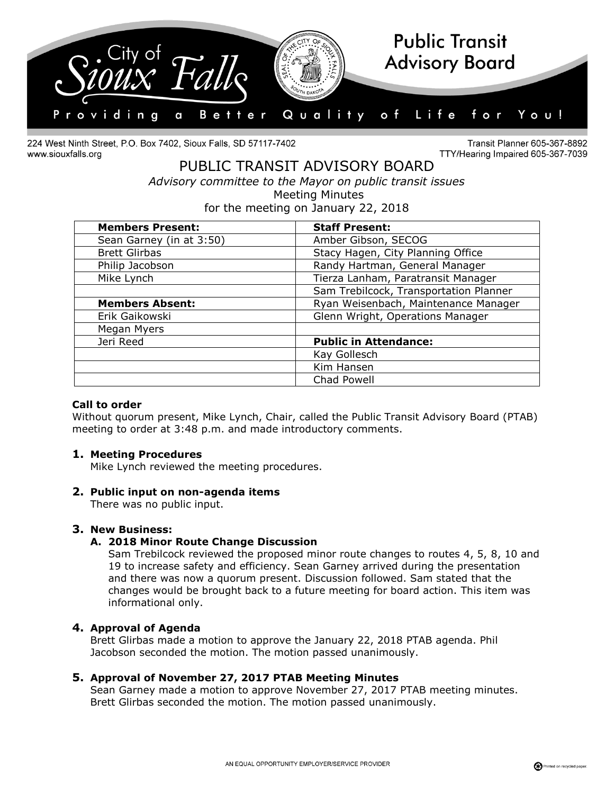

224 West Ninth Street, P.O. Box 7402, Sioux Falls, SD 57117-7402 www.siouxfalls.org

Transit Planner 605-367-8892 TTY/Hearing Impaired 605-367-7039

# PUBLIC TRANSIT ADVISORY BOARD *Advisory committee to the Mayor on public transit issues* Meeting Minutes

for the meeting on January 22, 2018

| <b>Members Present:</b>  | <b>Staff Present:</b>                  |
|--------------------------|----------------------------------------|
| Sean Garney (in at 3:50) | Amber Gibson, SECOG                    |
| <b>Brett Glirbas</b>     | Stacy Hagen, City Planning Office      |
| Philip Jacobson          | Randy Hartman, General Manager         |
| Mike Lynch               | Tierza Lanham, Paratransit Manager     |
|                          | Sam Trebilcock, Transportation Planner |
| <b>Members Absent:</b>   | Ryan Weisenbach, Maintenance Manager   |
| Erik Gaikowski           | Glenn Wright, Operations Manager       |
| Megan Myers              |                                        |
| Jeri Reed                | <b>Public in Attendance:</b>           |
|                          | Kay Gollesch                           |
|                          | Kim Hansen                             |
|                          | Chad Powell                            |

### **Call to order**

Without quorum present, Mike Lynch, Chair, called the Public Transit Advisory Board (PTAB) meeting to order at 3:48 p.m. and made introductory comments.

### **1. Meeting Procedures**

Mike Lynch reviewed the meeting procedures.

#### **2. Public input on non-agenda items**

There was no public input.

### **3. New Business:**

### **A. 2018 Minor Route Change Discussion**

Sam Trebilcock reviewed the proposed minor route changes to routes 4, 5, 8, 10 and 19 to increase safety and efficiency. Sean Garney arrived during the presentation and there was now a quorum present. Discussion followed. Sam stated that the changes would be brought back to a future meeting for board action. This item was informational only.

### **4. Approval of Agenda**

Brett Glirbas made a motion to approve the January 22, 2018 PTAB agenda. Phil Jacobson seconded the motion. The motion passed unanimously.

### **5. Approval of November 27, 2017 PTAB Meeting Minutes**

Sean Garney made a motion to approve November 27, 2017 PTAB meeting minutes. Brett Glirbas seconded the motion. The motion passed unanimously.